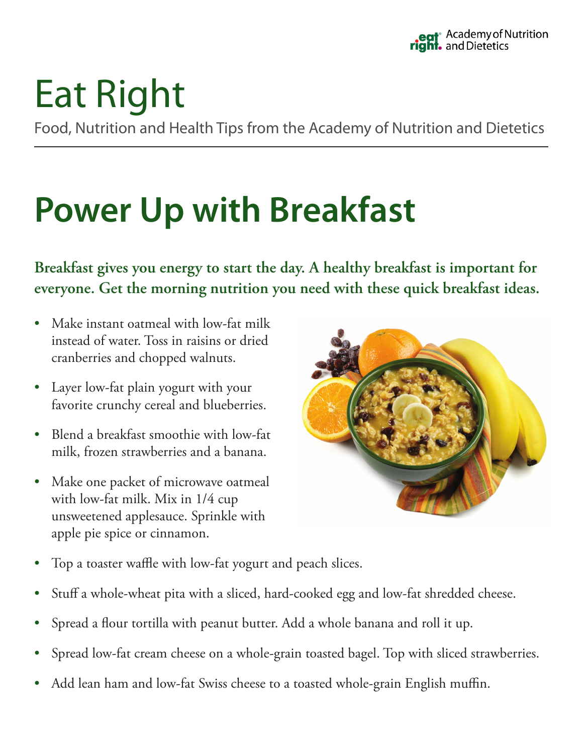# Eat Right

Food, Nutrition and Health Tips from the Academy of Nutrition and Dietetics

## **Power Up with Breakfast**

**Breakfast gives you energy to start the day. A healthy breakfast is important for everyone. Get the morning nutrition you need with these quick breakfast ideas.**

- Make instant oatmeal with low-fat milk instead of water. Toss in raisins or dried cranberries and chopped walnuts.
- Layer low-fat plain yogurt with your favorite crunchy cereal and blueberries.
- Blend a breakfast smoothie with low-fat milk, frozen strawberries and a banana.
- Make one packet of microwave oatmeal with low-fat milk. Mix in 1/4 cup unsweetened applesauce. Sprinkle with apple pie spice or cinnamon.



- Top a toaster waffle with low-fat yogurt and peach slices.
- Stuff a whole-wheat pita with a sliced, hard-cooked egg and low-fat shredded cheese.
- Spread a flour tortilla with peanut butter. Add a whole banana and roll it up.
- Spread low-fat cream cheese on a whole-grain toasted bagel. Top with sliced strawberries.
- Add lean ham and low-fat Swiss cheese to a toasted whole-grain English muffin.